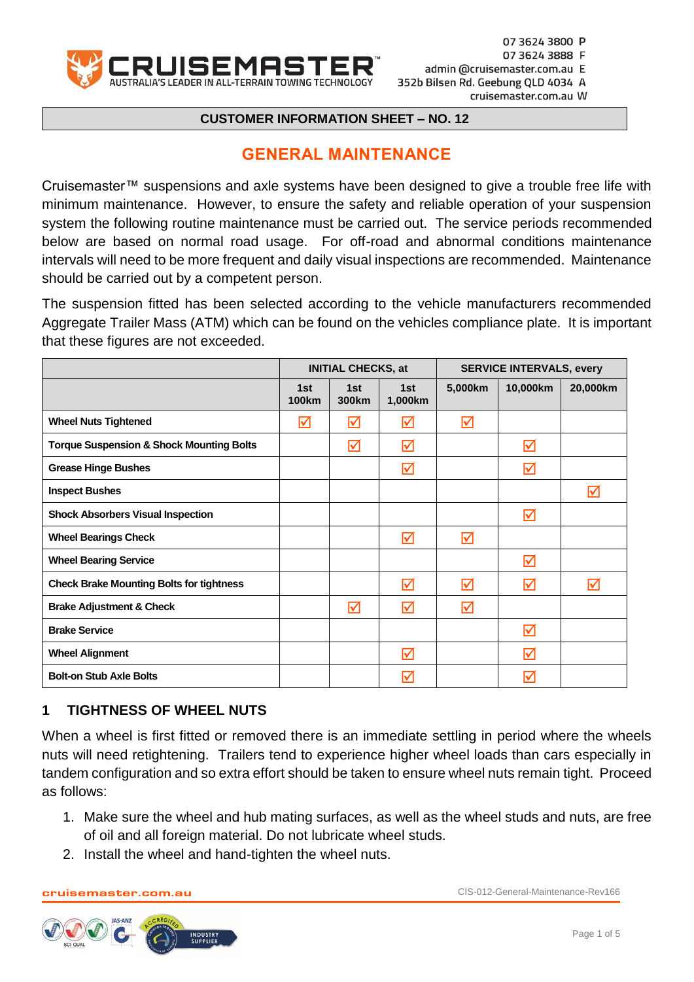

#### **CUSTOMER INFORMATION SHEET – NO. 12**

## **GENERAL MAINTENANCE**

Cruisemaster™ suspensions and axle systems have been designed to give a trouble free life with minimum maintenance. However, to ensure the safety and reliable operation of your suspension system the following routine maintenance must be carried out. The service periods recommended below are based on normal road usage. For off-road and abnormal conditions maintenance intervals will need to be more frequent and daily visual inspections are recommended. Maintenance should be carried out by a competent person.

The suspension fitted has been selected according to the vehicle manufacturers recommended Aggregate Trailer Mass (ATM) which can be found on the vehicles compliance plate. It is important that these figures are not exceeded.

|                                                     | <b>INITIAL CHECKS, at</b> |                          | <b>SERVICE INTERVALS, every</b> |         |          |                      |
|-----------------------------------------------------|---------------------------|--------------------------|---------------------------------|---------|----------|----------------------|
|                                                     | 1st<br><b>100km</b>       | 1st<br>300 <sub>km</sub> | 1st<br>1,000km                  | 5,000km | 10,000km | 20,000km             |
| <b>Wheel Nuts Tightened</b>                         | ☑                         | ☑                        | ☑                               | ☑       |          |                      |
| <b>Torque Suspension &amp; Shock Mounting Bolts</b> |                           | ☑                        | ☑                               |         | ☑        |                      |
| <b>Grease Hinge Bushes</b>                          |                           |                          | ☑                               |         | ☑        |                      |
| <b>Inspect Bushes</b>                               |                           |                          |                                 |         |          | $\blacktriangledown$ |
| <b>Shock Absorbers Visual Inspection</b>            |                           |                          |                                 |         | ☑        |                      |
| <b>Wheel Bearings Check</b>                         |                           |                          | ☑                               | ☑       |          |                      |
| <b>Wheel Bearing Service</b>                        |                           |                          |                                 |         | ☑        |                      |
| <b>Check Brake Mounting Bolts for tightness</b>     |                           |                          | ☑                               | ☑       | ☑        | $\triangledown$      |
| <b>Brake Adjustment &amp; Check</b>                 |                           | ☑                        | ☑                               | ☑       |          |                      |
| <b>Brake Service</b>                                |                           |                          |                                 |         | ☑        |                      |
| <b>Wheel Alignment</b>                              |                           |                          | ☑                               |         | ☑        |                      |
| <b>Bolt-on Stub Axle Bolts</b>                      |                           |                          | ⊽                               |         | ☑        |                      |

#### **1 TIGHTNESS OF WHEEL NUTS**

When a wheel is first fitted or removed there is an immediate settling in period where the wheels nuts will need retightening. Trailers tend to experience higher wheel loads than cars especially in tandem configuration and so extra effort should be taken to ensure wheel nuts remain tight. Proceed as follows:

- 1. Make sure the wheel and hub mating surfaces, as well as the wheel studs and nuts, are free of oil and all foreign material. Do not lubricate wheel studs.
- 2. Install the wheel and hand-tighten the wheel nuts.

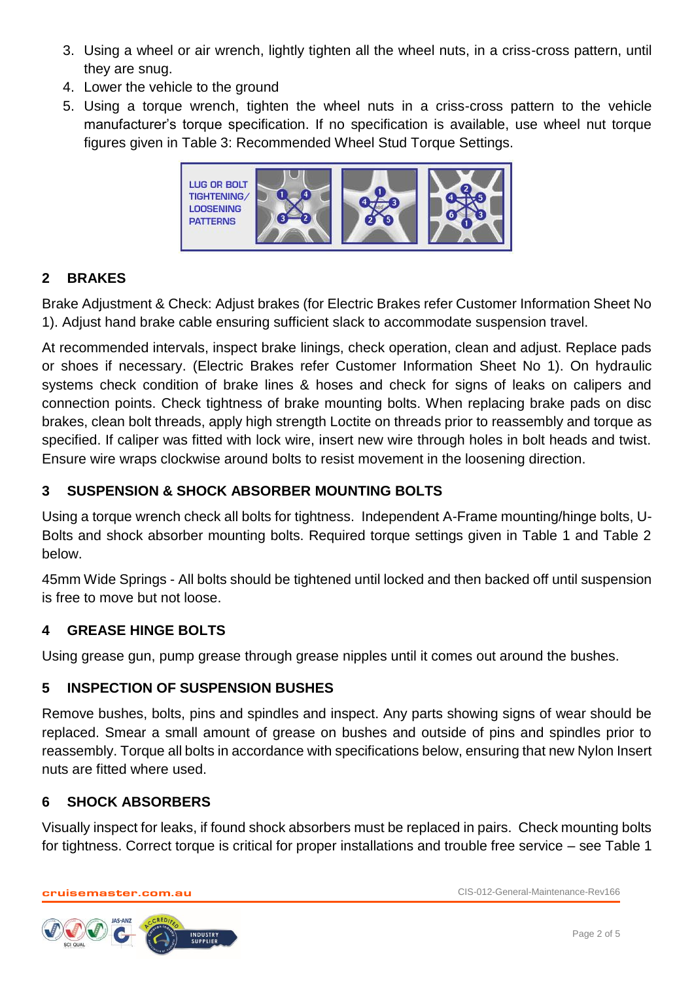- 3. Using a wheel or air wrench, lightly tighten all the wheel nuts, in a criss-cross pattern, until they are snug.
- 4. Lower the vehicle to the ground
- 5. Using a torque wrench, tighten the wheel nuts in a criss-cross pattern to the vehicle manufacturer's torque specification. If no specification is available, use wheel nut torque figures given in Table 3: Recommended Wheel Stud Torque Settings.



# **2 BRAKES**

Brake Adjustment & Check: Adjust brakes (for Electric Brakes refer Customer Information Sheet No 1). Adjust hand brake cable ensuring sufficient slack to accommodate suspension travel.

At recommended intervals, inspect brake linings, check operation, clean and adjust. Replace pads or shoes if necessary. (Electric Brakes refer Customer Information Sheet No 1). On hydraulic systems check condition of brake lines & hoses and check for signs of leaks on calipers and connection points. Check tightness of brake mounting bolts. When replacing brake pads on disc brakes, clean bolt threads, apply high strength Loctite on threads prior to reassembly and torque as specified. If caliper was fitted with lock wire, insert new wire through holes in bolt heads and twist. Ensure wire wraps clockwise around bolts to resist movement in the loosening direction.

## **3 SUSPENSION & SHOCK ABSORBER MOUNTING BOLTS**

Using a torque wrench check all bolts for tightness. Independent A-Frame mounting/hinge bolts, U-Bolts and shock absorber mounting bolts. Required torque settings given in Table 1 and Table 2 below.

45mm Wide Springs - All bolts should be tightened until locked and then backed off until suspension is free to move but not loose.

#### **4 GREASE HINGE BOLTS**

Using grease gun, pump grease through grease nipples until it comes out around the bushes.

#### **5 INSPECTION OF SUSPENSION BUSHES**

Remove bushes, bolts, pins and spindles and inspect. Any parts showing signs of wear should be replaced. Smear a small amount of grease on bushes and outside of pins and spindles prior to reassembly. Torque all bolts in accordance with specifications below, ensuring that new Nylon Insert nuts are fitted where used.

#### **6 SHOCK ABSORBERS**

Visually inspect for leaks, if found shock absorbers must be replaced in pairs. Check mounting bolts for tightness. Correct torque is critical for proper installations and trouble free service – see Table 1

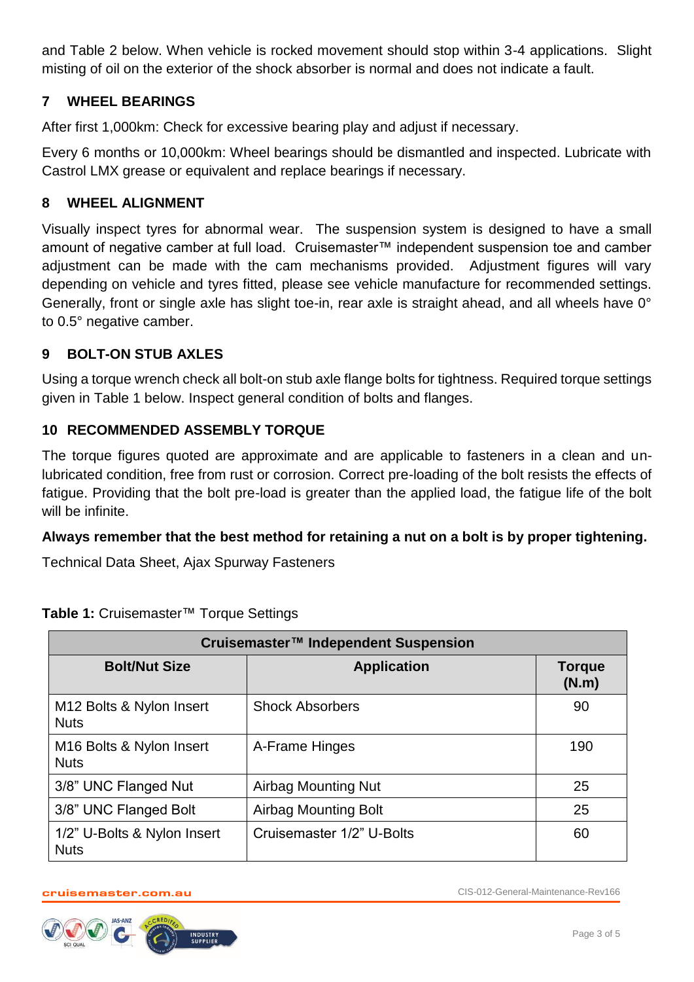and Table 2 below. When vehicle is rocked movement should stop within 3-4 applications. Slight misting of oil on the exterior of the shock absorber is normal and does not indicate a fault.

#### **7 WHEEL BEARINGS**

After first 1,000km: Check for excessive bearing play and adjust if necessary.

Every 6 months or 10,000km: Wheel bearings should be dismantled and inspected. Lubricate with Castrol LMX grease or equivalent and replace bearings if necessary.

#### **8 WHEEL ALIGNMENT**

Visually inspect tyres for abnormal wear. The suspension system is designed to have a small amount of negative camber at full load. Cruisemaster™ independent suspension toe and camber adjustment can be made with the cam mechanisms provided. Adjustment figures will vary depending on vehicle and tyres fitted, please see vehicle manufacture for recommended settings. Generally, front or single axle has slight toe-in, rear axle is straight ahead, and all wheels have 0° to 0.5° negative camber.

#### **9 BOLT-ON STUB AXLES**

Using a torque wrench check all bolt-on stub axle flange bolts for tightness. Required torque settings given in Table 1 below. Inspect general condition of bolts and flanges.

#### **10 RECOMMENDED ASSEMBLY TORQUE**

The torque figures quoted are approximate and are applicable to fasteners in a clean and unlubricated condition, free from rust or corrosion. Correct pre-loading of the bolt resists the effects of fatigue. Providing that the bolt pre-load is greater than the applied load, the fatigue life of the bolt will be infinite.

#### **Always remember that the best method for retaining a nut on a bolt is by proper tightening.**

Technical Data Sheet, Ajax Spurway Fasteners

| Cruisemaster™ Independent Suspension                |                             |                        |  |
|-----------------------------------------------------|-----------------------------|------------------------|--|
| <b>Bolt/Nut Size</b>                                | <b>Application</b>          | <b>Torque</b><br>(N.m) |  |
| M12 Bolts & Nylon Insert<br><b>Nuts</b>             | <b>Shock Absorbers</b>      | 90                     |  |
| M <sub>16</sub> Bolts & Nylon Insert<br><b>Nuts</b> | A-Frame Hinges              | 190                    |  |
| 3/8" UNC Flanged Nut                                | Airbag Mounting Nut         | 25                     |  |
| 3/8" UNC Flanged Bolt                               | <b>Airbag Mounting Bolt</b> | 25                     |  |
| 1/2" U-Bolts & Nylon Insert<br><b>Nuts</b>          | Cruisemaster 1/2" U-Bolts   | 60                     |  |

**Table 1:** Cruisemaster™ Torque Settings

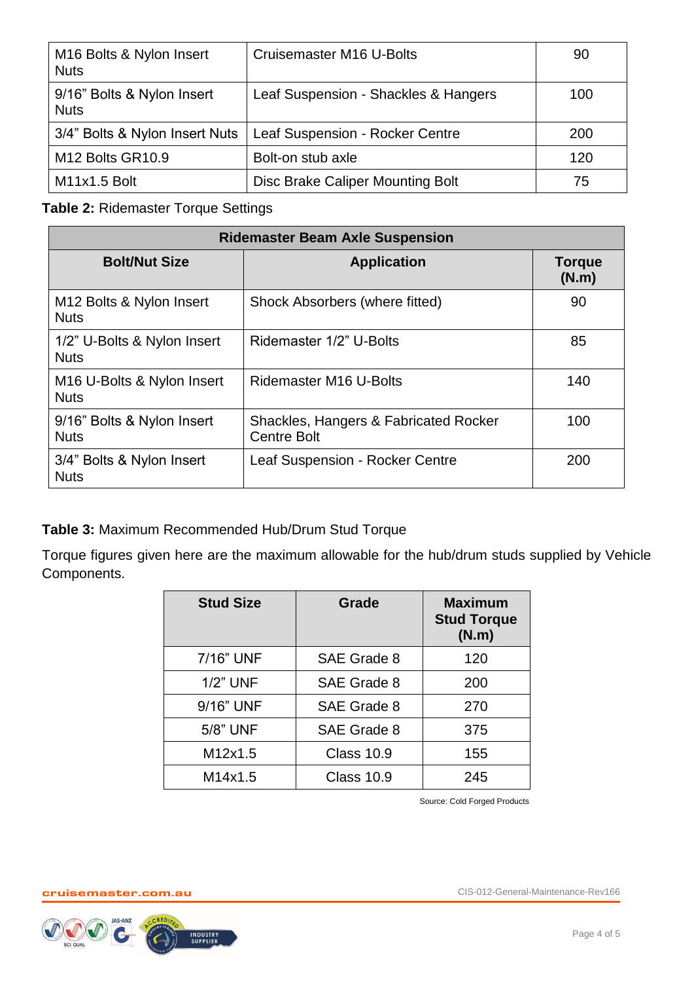| M <sub>16</sub> Bolts & Nylon Insert<br><b>Nuts</b> | Cruisemaster M16 U-Bolts             | 90  |
|-----------------------------------------------------|--------------------------------------|-----|
| 9/16" Bolts & Nylon Insert<br><b>Nuts</b>           | Leaf Suspension - Shackles & Hangers | 100 |
| 3/4" Bolts & Nylon Insert Nuts                      | Leaf Suspension - Rocker Centre      | 200 |
| M <sub>12</sub> Bolts GR <sub>10.9</sub>            | Bolt-on stub axle                    | 120 |
| M11x1.5 Bolt                                        | Disc Brake Caliper Mounting Bolt     | 75  |

## **Table 2:** Ridemaster Torque Settings

| <b>Ridemaster Beam Axle Suspension</b>                |                                                             |                        |  |
|-------------------------------------------------------|-------------------------------------------------------------|------------------------|--|
| <b>Bolt/Nut Size</b>                                  | <b>Application</b>                                          | <b>Torque</b><br>(N.m) |  |
| M <sub>12</sub> Bolts & Nylon Insert<br><b>Nuts</b>   | Shock Absorbers (where fitted)                              | 90                     |  |
| 1/2" U-Bolts & Nylon Insert<br><b>Nuts</b>            | Ridemaster 1/2" U-Bolts                                     | 85                     |  |
| M <sub>16</sub> U-Bolts & Nylon Insert<br><b>Nuts</b> | Ridemaster M16 U-Bolts                                      | 140                    |  |
| 9/16" Bolts & Nylon Insert<br><b>Nuts</b>             | Shackles, Hangers & Fabricated Rocker<br><b>Centre Bolt</b> | 100                    |  |
| 3/4" Bolts & Nylon Insert<br><b>Nuts</b>              | Leaf Suspension - Rocker Centre                             | 200                    |  |

**Table 3:** Maximum Recommended Hub/Drum Stud Torque

Torque figures given here are the maximum allowable for the hub/drum studs supplied by Vehicle Components.

| <b>Stud Size</b> | Grade             | <b>Maximum</b><br><b>Stud Torque</b><br>(N.m) |
|------------------|-------------------|-----------------------------------------------|
| 7/16" UNF        | SAE Grade 8       | 120                                           |
| <b>1/2" UNF</b>  | SAE Grade 8       | 200                                           |
| 9/16" UNF        | SAE Grade 8       | 270                                           |
| 5/8" UNF         | SAE Grade 8       | 375                                           |
| M12x1.5          | <b>Class 10.9</b> | 155                                           |
| M14x1.5          | <b>Class 10.9</b> | 245                                           |

Source: Cold Forged Products